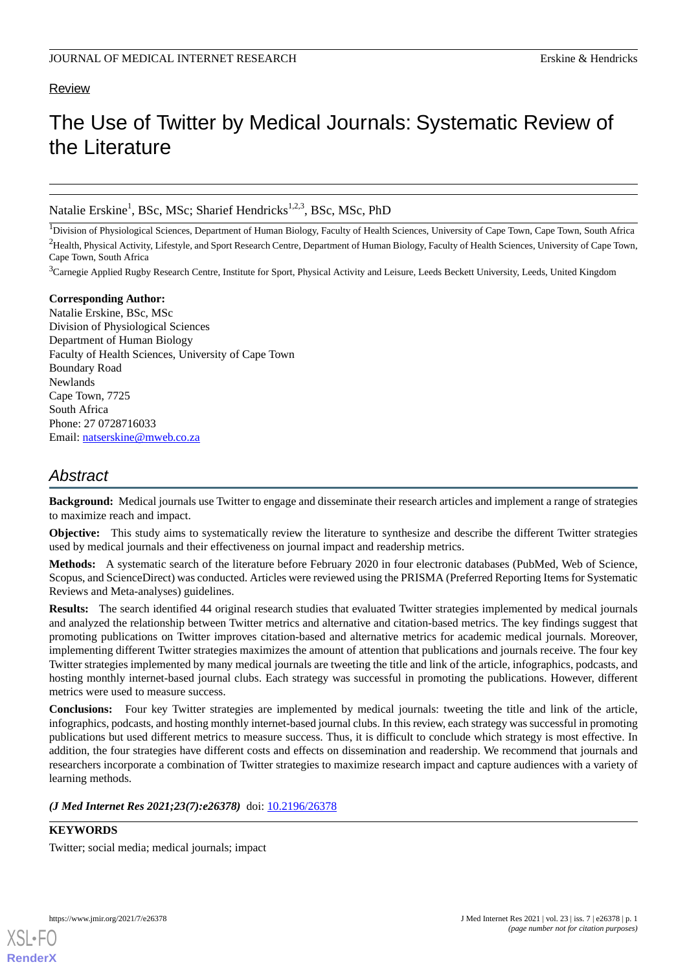# Review

# The Use of Twitter by Medical Journals: Systematic Review of the Literature

# Natalie Erskine<sup>1</sup>, BSc, MSc; Sharief Hendricks<sup>1,2,3</sup>, BSc, MSc, PhD

<sup>1</sup>Division of Physiological Sciences, Department of Human Biology, Faculty of Health Sciences, University of Cape Town, Cape Town, South Africa <sup>2</sup>Health, Physical Activity, Lifestyle, and Sport Research Centre, Department of Human Biology, Faculty of Health Sciences, University of Cape Town, Cape Town, South Africa

<sup>3</sup>Carnegie Applied Rugby Research Centre, Institute for Sport, Physical Activity and Leisure, Leeds Beckett University, Leeds, United Kingdom

**Corresponding Author:** Natalie Erskine, BSc, MSc Division of Physiological Sciences Department of Human Biology Faculty of Health Sciences, University of Cape Town Boundary Road Newlands Cape Town, 7725 South Africa Phone: 27 0728716033 Email: [natserskine@mweb.co.za](mailto:natserskine@mweb.co.za)

# *Abstract*

**Background:** Medical journals use Twitter to engage and disseminate their research articles and implement a range of strategies to maximize reach and impact.

**Objective:** This study aims to systematically review the literature to synthesize and describe the different Twitter strategies used by medical journals and their effectiveness on journal impact and readership metrics.

**Methods:** A systematic search of the literature before February 2020 in four electronic databases (PubMed, Web of Science, Scopus, and ScienceDirect) was conducted. Articles were reviewed using the PRISMA (Preferred Reporting Items for Systematic Reviews and Meta-analyses) guidelines.

**Results:** The search identified 44 original research studies that evaluated Twitter strategies implemented by medical journals and analyzed the relationship between Twitter metrics and alternative and citation-based metrics. The key findings suggest that promoting publications on Twitter improves citation-based and alternative metrics for academic medical journals. Moreover, implementing different Twitter strategies maximizes the amount of attention that publications and journals receive. The four key Twitter strategies implemented by many medical journals are tweeting the title and link of the article, infographics, podcasts, and hosting monthly internet-based journal clubs. Each strategy was successful in promoting the publications. However, different metrics were used to measure success.

**Conclusions:** Four key Twitter strategies are implemented by medical journals: tweeting the title and link of the article, infographics, podcasts, and hosting monthly internet-based journal clubs. In this review, each strategy was successful in promoting publications but used different metrics to measure success. Thus, it is difficult to conclude which strategy is most effective. In addition, the four strategies have different costs and effects on dissemination and readership. We recommend that journals and researchers incorporate a combination of Twitter strategies to maximize research impact and capture audiences with a variety of learning methods.

*(J Med Internet Res 2021;23(7):e26378)* doi:  $10.2196/26378$ 

**KEYWORDS**

Twitter; social media; medical journals; impact

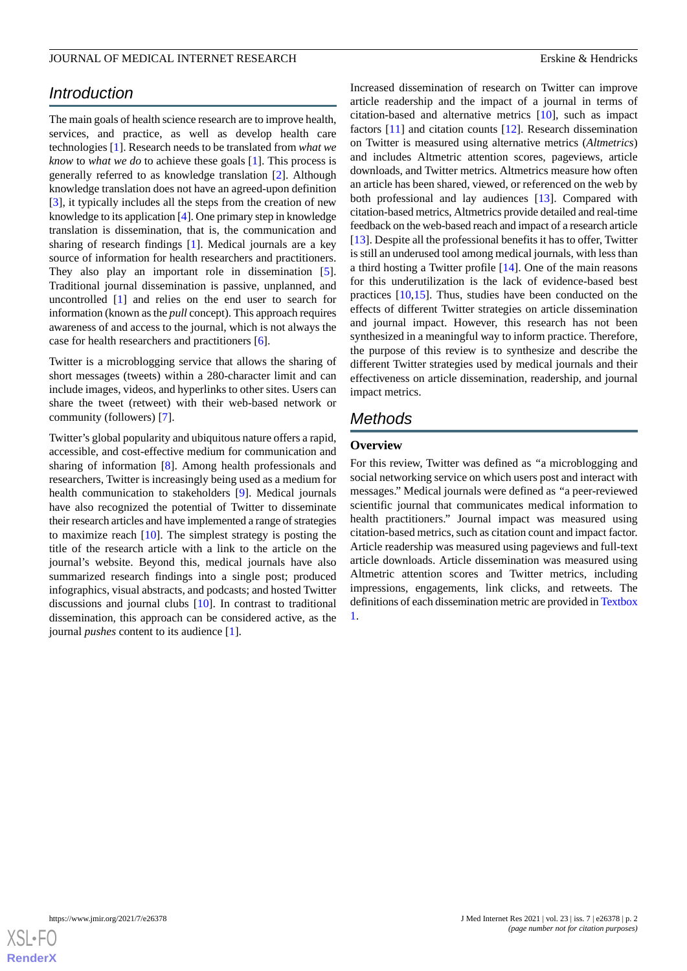# *Introduction*

The main goals of health science research are to improve health, services, and practice, as well as develop health care technologies [\[1\]](#page-6-0). Research needs to be translated from *what we know* to *what we do* to achieve these goals [\[1\]](#page-6-0). This process is generally referred to as knowledge translation [\[2](#page-6-1)]. Although knowledge translation does not have an agreed-upon definition [[3\]](#page-6-2), it typically includes all the steps from the creation of new knowledge to its application [\[4](#page-6-3)]. One primary step in knowledge translation is dissemination, that is, the communication and sharing of research findings [\[1](#page-6-0)]. Medical journals are a key source of information for health researchers and practitioners. They also play an important role in dissemination [[5\]](#page-6-4). Traditional journal dissemination is passive, unplanned, and uncontrolled [[1\]](#page-6-0) and relies on the end user to search for information (known as the *pull* concept). This approach requires awareness of and access to the journal, which is not always the case for health researchers and practitioners [[6\]](#page-6-5).

Twitter is a microblogging service that allows the sharing of short messages (tweets) within a 280-character limit and can include images, videos, and hyperlinks to other sites. Users can share the tweet (retweet) with their web-based network or community (followers) [[7\]](#page-6-6).

Twitter's global popularity and ubiquitous nature offers a rapid, accessible, and cost-effective medium for communication and sharing of information [[8\]](#page-6-7). Among health professionals and researchers, Twitter is increasingly being used as a medium for health communication to stakeholders [\[9](#page-6-8)]. Medical journals have also recognized the potential of Twitter to disseminate their research articles and have implemented a range of strategies to maximize reach [[10\]](#page-6-9). The simplest strategy is posting the title of the research article with a link to the article on the journal's website. Beyond this, medical journals have also summarized research findings into a single post; produced infographics, visual abstracts, and podcasts; and hosted Twitter discussions and journal clubs [\[10](#page-6-9)]. In contrast to traditional dissemination, this approach can be considered active, as the journal *pushes* content to its audience [[1\]](#page-6-0).

Increased dissemination of research on Twitter can improve article readership and the impact of a journal in terms of citation-based and alternative metrics [\[10](#page-6-9)], such as impact factors [\[11](#page-7-0)] and citation counts [\[12](#page-7-1)]. Research dissemination on Twitter is measured using alternative metrics (*Altmetrics*) and includes Altmetric attention scores, pageviews, article downloads, and Twitter metrics. Altmetrics measure how often an article has been shared, viewed, or referenced on the web by both professional and lay audiences [[13\]](#page-7-2). Compared with citation-based metrics, Altmetrics provide detailed and real-time feedback on the web-based reach and impact of a research article [[13\]](#page-7-2). Despite all the professional benefits it has to offer, Twitter is still an underused tool among medical journals, with less than a third hosting a Twitter profile [[14\]](#page-7-3). One of the main reasons for this underutilization is the lack of evidence-based best practices [\[10](#page-6-9),[15\]](#page-7-4). Thus, studies have been conducted on the effects of different Twitter strategies on article dissemination and journal impact. However, this research has not been synthesized in a meaningful way to inform practice. Therefore, the purpose of this review is to synthesize and describe the different Twitter strategies used by medical journals and their effectiveness on article dissemination, readership, and journal impact metrics.

# *Methods*

# **Overview**

For this review, Twitter was defined as *"*a microblogging and social networking service on which users post and interact with messages." Medical journals were defined as *"*a peer-reviewed scientific journal that communicates medical information to health practitioners." Journal impact was measured using citation-based metrics, such as citation count and impact factor. Article readership was measured using pageviews and full-text article downloads. Article dissemination was measured using Altmetric attention scores and Twitter metrics, including impressions, engagements, link clicks, and retweets. The definitions of each dissemination metric are provided in [Textbox](#page-2-0) [1.](#page-2-0)

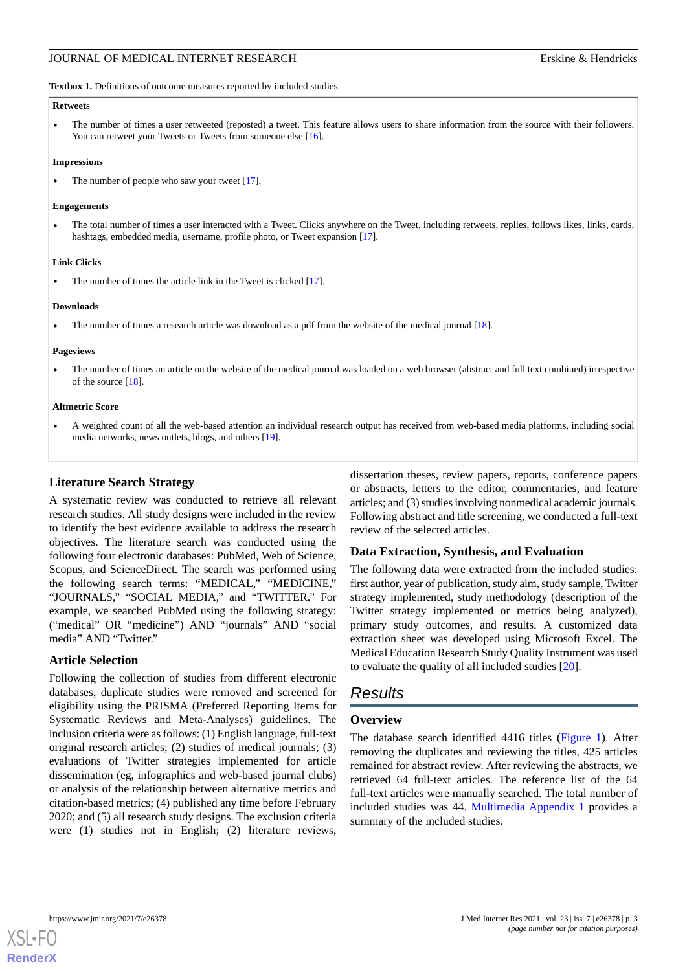<span id="page-2-0"></span>Textbox 1. Definitions of outcome measures reported by included studies.

#### **Retweets**

• The number of times a user retweeted (reposted) a tweet. This feature allows users to share information from the source with their followers. You can retweet your Tweets or Tweets from someone else [[16\]](#page-7-5).

#### **Impressions**

The number of people who saw your tweet [\[17\]](#page-7-6).

#### **Engagements**

• The total number of times a user interacted with a Tweet. Clicks anywhere on the Tweet, including retweets, replies, follows likes, links, cards, hashtags, embedded media, username, profile photo, or Tweet expansion [\[17\]](#page-7-6).

#### **Link Clicks**

The number of times the article link in the Tweet is clicked [\[17\]](#page-7-6).

#### **Downloads**

The number of times a research article was download as a pdf from the website of the medical journal [[18](#page-7-7)].

#### **Pageviews**

• The number of times an article on the website of the medical journal was loaded on a web browser (abstract and full text combined) irrespective of the source [\[18\]](#page-7-7).

#### **Altmetric Score**

• A weighted count of all the web-based attention an individual research output has received from web-based media platforms, including social media networks, news outlets, blogs, and others [[19](#page-7-8)].

# **Literature Search Strategy**

A systematic review was conducted to retrieve all relevant research studies. All study designs were included in the review to identify the best evidence available to address the research objectives. The literature search was conducted using the following four electronic databases: PubMed, Web of Science, Scopus, and ScienceDirect. The search was performed using the following search terms: "MEDICAL," "MEDICINE," "JOURNALS," "SOCIAL MEDIA," and "TWITTER." For example, we searched PubMed using the following strategy: ("medical" OR "medicine") AND "journals" AND "social media" AND "Twitter."

# **Article Selection**

Following the collection of studies from different electronic databases, duplicate studies were removed and screened for eligibility using the PRISMA (Preferred Reporting Items for Systematic Reviews and Meta-Analyses) guidelines. The inclusion criteria were as follows: (1) English language, full-text original research articles; (2) studies of medical journals; (3) evaluations of Twitter strategies implemented for article dissemination (eg, infographics and web-based journal clubs) or analysis of the relationship between alternative metrics and citation-based metrics; (4) published any time before February 2020; and (5) all research study designs. The exclusion criteria were (1) studies not in English; (2) literature reviews,

dissertation theses, review papers, reports, conference papers or abstracts, letters to the editor, commentaries, and feature articles; and (3) studies involving nonmedical academic journals. Following abstract and title screening, we conducted a full-text review of the selected articles.

# **Data Extraction, Synthesis, and Evaluation**

The following data were extracted from the included studies: first author, year of publication, study aim, study sample, Twitter strategy implemented, study methodology (description of the Twitter strategy implemented or metrics being analyzed), primary study outcomes, and results. A customized data extraction sheet was developed using Microsoft Excel. The Medical Education Research Study Quality Instrument was used to evaluate the quality of all included studies [\[20](#page-7-9)].

# *Results*

# **Overview**

The database search identified 4416 titles [\(Figure 1\)](#page-3-0). After removing the duplicates and reviewing the titles, 425 articles remained for abstract review. After reviewing the abstracts, we retrieved 64 full-text articles. The reference list of the 64 full-text articles were manually searched. The total number of included studies was 44. [Multimedia Appendix 1](#page-6-10) provides a summary of the included studies.

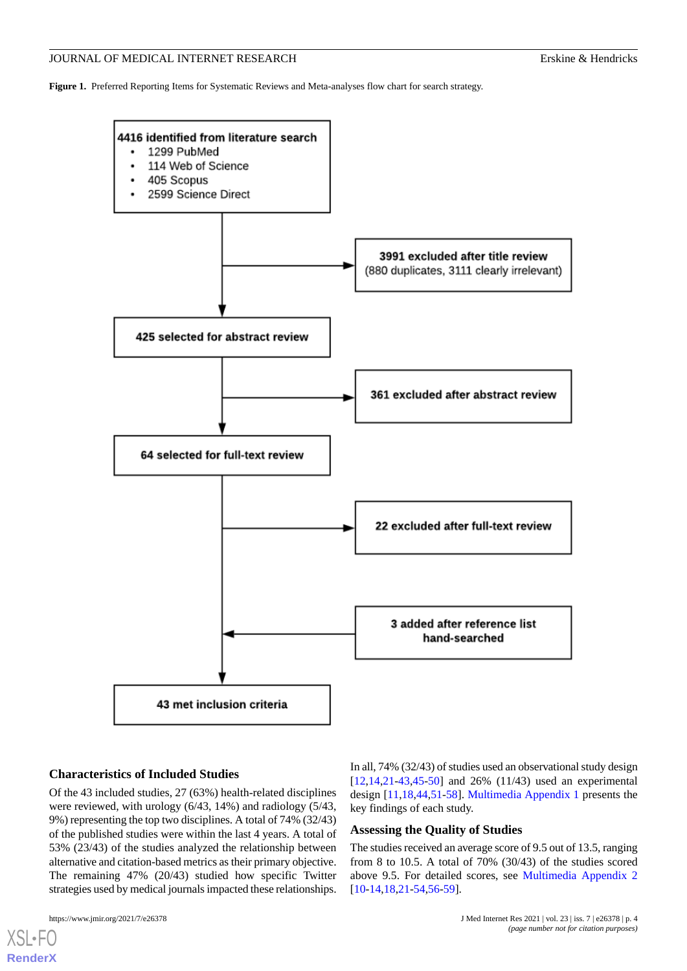<span id="page-3-0"></span>**Figure 1.** Preferred Reporting Items for Systematic Reviews and Meta-analyses flow chart for search strategy.



# **Characteristics of Included Studies**

Of the 43 included studies, 27 (63%) health-related disciplines were reviewed, with urology (6/43, 14%) and radiology (5/43, 9%) representing the top two disciplines. A total of 74% (32/43) of the published studies were within the last 4 years. A total of 53% (23/43) of the studies analyzed the relationship between alternative and citation-based metrics as their primary objective. The remaining 47% (20/43) studied how specific Twitter strategies used by medical journals impacted these relationships.

[XSL](http://www.w3.org/Style/XSL)•FO **[RenderX](http://www.renderx.com/)**

In all, 74% (32/43) of studies used an observational study design  $[12,14,21-43,45-50]$  $[12,14,21-43,45-50]$  $[12,14,21-43,45-50]$  $[12,14,21-43,45-50]$  $[12,14,21-43,45-50]$  $[12,14,21-43,45-50]$  $[12,14,21-43,45-50]$  $[12,14,21-43,45-50]$  $[12,14,21-43,45-50]$  and 26%  $(11/43)$  used an experimental design [[11](#page-7-0)[,18](#page-7-7),[44](#page-8-3)[,51](#page-8-4)-[58\]](#page-8-5). [Multimedia Appendix 1](#page-6-10) presents the key findings of each study.

#### **Assessing the Quality of Studies**

The studies received an average score of 9.5 out of 13.5, ranging from 8 to 10.5. A total of 70% (30/43) of the studies scored above 9.5. For detailed scores, see [Multimedia Appendix 2](#page-6-11) [[10](#page-6-9)[-14](#page-7-3),[18](#page-7-7)[,21](#page-7-10)-[54,](#page-8-6)[56](#page-8-7)[-59](#page-9-0)].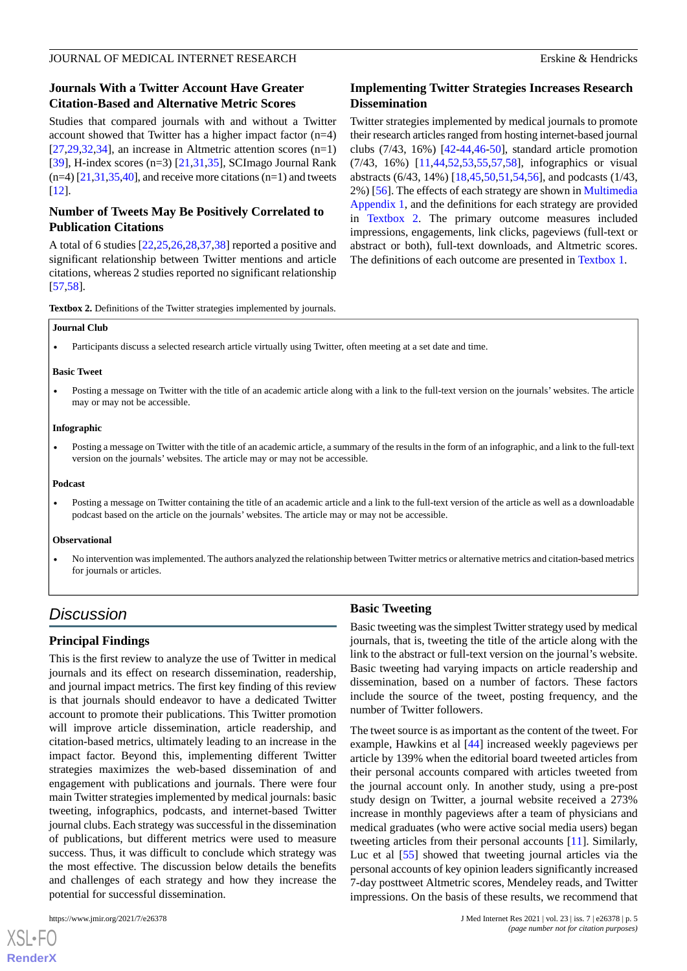# **Journals With a Twitter Account Have Greater Citation-Based and Alternative Metric Scores**

Studies that compared journals with and without a Twitter account showed that Twitter has a higher impact factor (n=4)  $[27,29,32,34]$  $[27,29,32,34]$  $[27,29,32,34]$  $[27,29,32,34]$  $[27,29,32,34]$  $[27,29,32,34]$  $[27,29,32,34]$ , an increase in Altmetric attention scores  $(n=1)$ [[39\]](#page-8-8), H-index scores (n=3) [[21,](#page-7-10)[31,](#page-7-15)[35\]](#page-7-16), SCImago Journal Rank  $(n=4)$  [[21](#page-7-10),[31,](#page-7-15)[35](#page-7-16)[,40](#page-8-9)], and receive more citations  $(n=1)$  and tweets [[12\]](#page-7-1).

# **Number of Tweets May Be Positively Correlated to Publication Citations**

A total of 6 studies [\[22](#page-7-17),[25](#page-7-18)[,26](#page-7-19),[28](#page-7-20)[,37](#page-8-10),[38\]](#page-8-11) reported a positive and significant relationship between Twitter mentions and article citations, whereas 2 studies reported no significant relationship [[57](#page-8-12)[,58](#page-8-5)].

# **Implementing Twitter Strategies Increases Research Dissemination**

Twitter strategies implemented by medical journals to promote their research articles ranged from hosting internet-based journal clubs (7/43, 16%) [\[42](#page-8-13)-[44,](#page-8-3)[46](#page-8-14)[-50](#page-8-2)], standard article promotion (7/43, 16%) [\[11](#page-7-0),[44,](#page-8-3)[52](#page-8-15),[53,](#page-8-16)[55](#page-8-17),[57,](#page-8-12)[58](#page-8-5)], infographics or visual abstracts (6/43, 14%) [[18,](#page-7-7)[45](#page-8-1),[50,](#page-8-2)[51](#page-8-4),[54,](#page-8-6)[56](#page-8-7)], and podcasts (1/43, 2%) [[56\]](#page-8-7). The effects of each strategy are shown in [Multimedia](#page-6-10) [Appendix 1,](#page-6-10) and the definitions for each strategy are provided in [Textbox 2.](#page-4-0) The primary outcome measures included impressions, engagements, link clicks, pageviews (full-text or abstract or both), full-text downloads, and Altmetric scores. The definitions of each outcome are presented in [Textbox 1](#page-2-0).

<span id="page-4-0"></span>**Textbox 2.** Definitions of the Twitter strategies implemented by journals.

#### **Journal Club**

• Participants discuss a selected research article virtually using Twitter, often meeting at a set date and time.

#### **Basic Tweet**

• Posting a message on Twitter with the title of an academic article along with a link to the full-text version on the journals' websites. The article may or may not be accessible.

#### **Infographic**

• Posting a message on Twitter with the title of an academic article, a summary of the results in the form of an infographic, and a link to the full-text version on the journals' websites. The article may or may not be accessible.

#### **Podcast**

• Posting a message on Twitter containing the title of an academic article and a link to the full-text version of the article as well as a downloadable podcast based on the article on the journals' websites. The article may or may not be accessible.

#### **Observational**

• No intervention was implemented. The authors analyzed the relationship between Twitter metrics or alternative metrics and citation-based metrics for journals or articles.

# *Discussion*

# **Principal Findings**

This is the first review to analyze the use of Twitter in medical journals and its effect on research dissemination, readership, and journal impact metrics. The first key finding of this review is that journals should endeavor to have a dedicated Twitter account to promote their publications. This Twitter promotion will improve article dissemination, article readership, and citation-based metrics, ultimately leading to an increase in the impact factor. Beyond this, implementing different Twitter strategies maximizes the web-based dissemination of and engagement with publications and journals. There were four main Twitter strategies implemented by medical journals: basic tweeting, infographics, podcasts, and internet-based Twitter journal clubs. Each strategy was successful in the dissemination of publications, but different metrics were used to measure success. Thus, it was difficult to conclude which strategy was the most effective. The discussion below details the benefits and challenges of each strategy and how they increase the potential for successful dissemination.

 $XS$ -FO **[RenderX](http://www.renderx.com/)**

# **Basic Tweeting**

Basic tweeting was the simplest Twitter strategy used by medical journals, that is, tweeting the title of the article along with the link to the abstract or full-text version on the journal's website. Basic tweeting had varying impacts on article readership and dissemination, based on a number of factors. These factors include the source of the tweet, posting frequency, and the number of Twitter followers.

The tweet source is as important as the content of the tweet. For example, Hawkins et al [[44\]](#page-8-3) increased weekly pageviews per article by 139% when the editorial board tweeted articles from their personal accounts compared with articles tweeted from the journal account only. In another study, using a pre-post study design on Twitter, a journal website received a 273% increase in monthly pageviews after a team of physicians and medical graduates (who were active social media users) began tweeting articles from their personal accounts [[11\]](#page-7-0). Similarly, Luc et al [\[55](#page-8-17)] showed that tweeting journal articles via the personal accounts of key opinion leaders significantly increased 7-day posttweet Altmetric scores, Mendeley reads, and Twitter impressions. On the basis of these results, we recommend that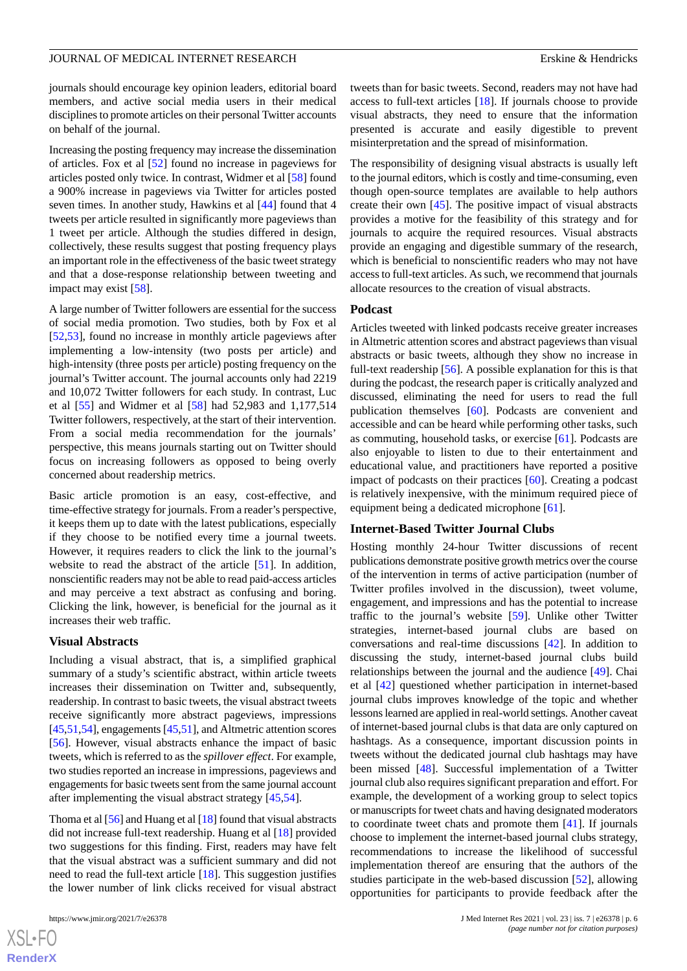journals should encourage key opinion leaders, editorial board members, and active social media users in their medical disciplines to promote articles on their personal Twitter accounts on behalf of the journal.

Increasing the posting frequency may increase the dissemination of articles. Fox et al [[52\]](#page-8-15) found no increase in pageviews for articles posted only twice. In contrast, Widmer et al [[58\]](#page-8-5) found a 900% increase in pageviews via Twitter for articles posted seven times. In another study, Hawkins et al [\[44](#page-8-3)] found that 4 tweets per article resulted in significantly more pageviews than 1 tweet per article. Although the studies differed in design, collectively, these results suggest that posting frequency plays an important role in the effectiveness of the basic tweet strategy and that a dose-response relationship between tweeting and impact may exist [\[58](#page-8-5)].

A large number of Twitter followers are essential for the success of social media promotion. Two studies, both by Fox et al [[52](#page-8-15)[,53](#page-8-16)], found no increase in monthly article pageviews after implementing a low-intensity (two posts per article) and high-intensity (three posts per article) posting frequency on the journal's Twitter account. The journal accounts only had 2219 and 10,072 Twitter followers for each study. In contrast, Luc et al [\[55](#page-8-17)] and Widmer et al [\[58](#page-8-5)] had 52,983 and 1,177,514 Twitter followers, respectively, at the start of their intervention. From a social media recommendation for the journals' perspective, this means journals starting out on Twitter should focus on increasing followers as opposed to being overly concerned about readership metrics.

Basic article promotion is an easy, cost-effective, and time-effective strategy for journals. From a reader's perspective, it keeps them up to date with the latest publications, especially if they choose to be notified every time a journal tweets. However, it requires readers to click the link to the journal's website to read the abstract of the article [[51\]](#page-8-4). In addition, nonscientific readers may not be able to read paid-access articles and may perceive a text abstract as confusing and boring. Clicking the link, however, is beneficial for the journal as it increases their web traffic.

### **Visual Abstracts**

Including a visual abstract, that is, a simplified graphical summary of a study's scientific abstract, within article tweets increases their dissemination on Twitter and, subsequently, readership. In contrast to basic tweets, the visual abstract tweets receive significantly more abstract pageviews, impressions [[45,](#page-8-1)[51](#page-8-4)[,54](#page-8-6)], engagements [[45,](#page-8-1)[51\]](#page-8-4), and Altmetric attention scores [[56\]](#page-8-7). However, visual abstracts enhance the impact of basic tweets, which is referred to as the *spillover effect*. For example, two studies reported an increase in impressions, pageviews and engagements for basic tweets sent from the same journal account after implementing the visual abstract strategy [\[45](#page-8-1),[54\]](#page-8-6).

Thoma et al [[56\]](#page-8-7) and Huang et al [[18\]](#page-7-7) found that visual abstracts did not increase full-text readership. Huang et al [\[18](#page-7-7)] provided two suggestions for this finding. First, readers may have felt that the visual abstract was a sufficient summary and did not need to read the full-text article [[18\]](#page-7-7). This suggestion justifies the lower number of link clicks received for visual abstract

 $XS$ -FO **[RenderX](http://www.renderx.com/)** tweets than for basic tweets. Second, readers may not have had access to full-text articles [[18\]](#page-7-7). If journals choose to provide visual abstracts, they need to ensure that the information presented is accurate and easily digestible to prevent misinterpretation and the spread of misinformation.

The responsibility of designing visual abstracts is usually left to the journal editors, which is costly and time-consuming, even though open-source templates are available to help authors create their own [[45\]](#page-8-1). The positive impact of visual abstracts provides a motive for the feasibility of this strategy and for journals to acquire the required resources. Visual abstracts provide an engaging and digestible summary of the research, which is beneficial to nonscientific readers who may not have access to full-text articles. As such, we recommend that journals allocate resources to the creation of visual abstracts.

#### **Podcast**

Articles tweeted with linked podcasts receive greater increases in Altmetric attention scores and abstract pageviews than visual abstracts or basic tweets, although they show no increase in full-text readership [[56\]](#page-8-7). A possible explanation for this is that during the podcast, the research paper is critically analyzed and discussed, eliminating the need for users to read the full publication themselves [\[60](#page-9-1)]. Podcasts are convenient and accessible and can be heard while performing other tasks, such as commuting, household tasks, or exercise [\[61](#page-9-2)]. Podcasts are also enjoyable to listen to due to their entertainment and educational value, and practitioners have reported a positive impact of podcasts on their practices [[60\]](#page-9-1). Creating a podcast is relatively inexpensive, with the minimum required piece of equipment being a dedicated microphone [\[61](#page-9-2)].

#### **Internet-Based Twitter Journal Clubs**

Hosting monthly 24-hour Twitter discussions of recent publications demonstrate positive growth metrics over the course of the intervention in terms of active participation (number of Twitter profiles involved in the discussion), tweet volume, engagement, and impressions and has the potential to increase traffic to the journal's website [\[59](#page-9-0)]. Unlike other Twitter strategies, internet-based journal clubs are based on conversations and real-time discussions [[42\]](#page-8-13). In addition to discussing the study, internet-based journal clubs build relationships between the journal and the audience [\[49](#page-8-18)]. Chai et al [\[42](#page-8-13)] questioned whether participation in internet-based journal clubs improves knowledge of the topic and whether lessons learned are applied in real-world settings. Another caveat of internet-based journal clubs is that data are only captured on hashtags. As a consequence, important discussion points in tweets without the dedicated journal club hashtags may have been missed [\[48](#page-8-19)]. Successful implementation of a Twitter journal club also requires significant preparation and effort. For example, the development of a working group to select topics or manuscripts for tweet chats and having designated moderators to coordinate tweet chats and promote them [\[41](#page-8-20)]. If journals choose to implement the internet-based journal clubs strategy, recommendations to increase the likelihood of successful implementation thereof are ensuring that the authors of the studies participate in the web-based discussion [\[52](#page-8-15)], allowing opportunities for participants to provide feedback after the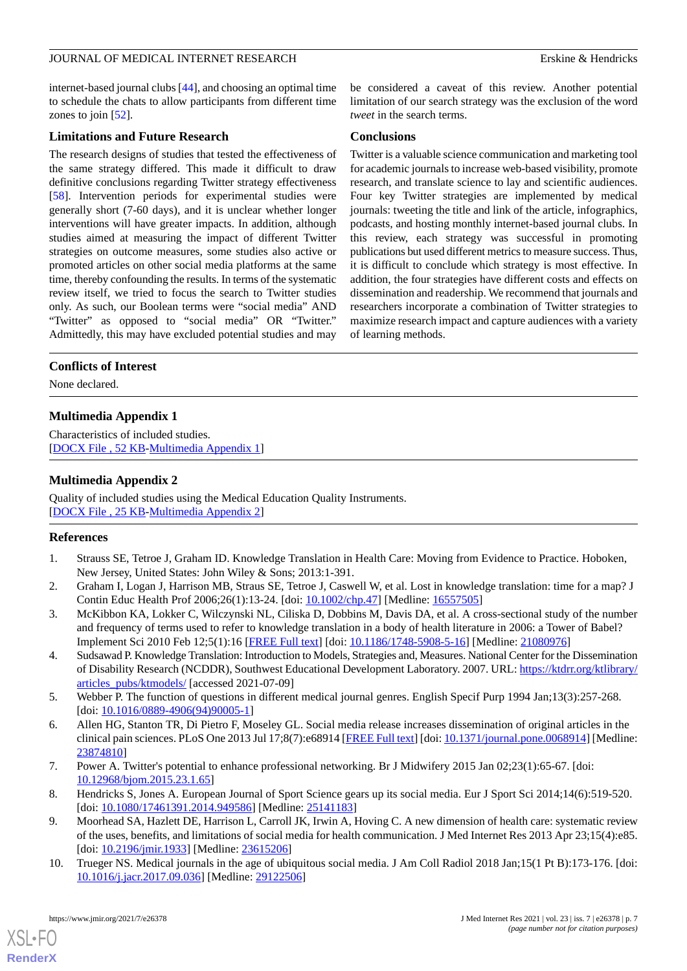internet-based journal clubs [[44\]](#page-8-3), and choosing an optimal time to schedule the chats to allow participants from different time zones to join [[52\]](#page-8-15).

### **Limitations and Future Research**

The research designs of studies that tested the effectiveness of the same strategy differed. This made it difficult to draw definitive conclusions regarding Twitter strategy effectiveness [[58\]](#page-8-5). Intervention periods for experimental studies were generally short (7-60 days), and it is unclear whether longer interventions will have greater impacts. In addition, although studies aimed at measuring the impact of different Twitter strategies on outcome measures, some studies also active or promoted articles on other social media platforms at the same time, thereby confounding the results. In terms of the systematic review itself, we tried to focus the search to Twitter studies only. As such, our Boolean terms were "social media" AND "Twitter" as opposed to "social media" OR "Twitter." Admittedly, this may have excluded potential studies and may

be considered a caveat of this review. Another potential limitation of our search strategy was the exclusion of the word *tweet* in the search terms.

### **Conclusions**

Twitter is a valuable science communication and marketing tool for academic journals to increase web-based visibility, promote research, and translate science to lay and scientific audiences. Four key Twitter strategies are implemented by medical journals: tweeting the title and link of the article, infographics, podcasts, and hosting monthly internet-based journal clubs. In this review, each strategy was successful in promoting publications but used different metrics to measure success. Thus, it is difficult to conclude which strategy is most effective. In addition, the four strategies have different costs and effects on dissemination and readership. We recommend that journals and researchers incorporate a combination of Twitter strategies to maximize research impact and capture audiences with a variety of learning methods.

# <span id="page-6-10"></span>**Conflicts of Interest**

None declared.

# **Multimedia Appendix 1**

<span id="page-6-11"></span>Characteristics of included studies. [[DOCX File , 52 KB](https://jmir.org/api/download?alt_name=jmir_v23i7e26378_app1.docx&filename=ed4b026f0e1687470aa6668f59806cc6.docx)-[Multimedia Appendix 1\]](https://jmir.org/api/download?alt_name=jmir_v23i7e26378_app1.docx&filename=ed4b026f0e1687470aa6668f59806cc6.docx)

# **Multimedia Appendix 2**

<span id="page-6-0"></span>Quality of included studies using the Medical Education Quality Instruments. [[DOCX File , 25 KB](https://jmir.org/api/download?alt_name=jmir_v23i7e26378_app2.docx&filename=21738dea6e4a735820aea3e9c7802371.docx)-[Multimedia Appendix 2\]](https://jmir.org/api/download?alt_name=jmir_v23i7e26378_app2.docx&filename=21738dea6e4a735820aea3e9c7802371.docx)

# <span id="page-6-1"></span>**References**

- <span id="page-6-2"></span>1. Strauss SE, Tetroe J, Graham ID. Knowledge Translation in Health Care: Moving from Evidence to Practice. Hoboken, New Jersey, United States: John Wiley & Sons; 2013:1-391.
- <span id="page-6-3"></span>2. Graham I, Logan J, Harrison MB, Straus SE, Tetroe J, Caswell W, et al. Lost in knowledge translation: time for a map? J Contin Educ Health Prof 2006;26(1):13-24. [doi: [10.1002/chp.47](http://dx.doi.org/10.1002/chp.47)] [Medline: [16557505](http://www.ncbi.nlm.nih.gov/entrez/query.fcgi?cmd=Retrieve&db=PubMed&list_uids=16557505&dopt=Abstract)]
- <span id="page-6-4"></span>3. McKibbon KA, Lokker C, Wilczynski NL, Ciliska D, Dobbins M, Davis DA, et al. A cross-sectional study of the number and frequency of terms used to refer to knowledge translation in a body of health literature in 2006: a Tower of Babel? Implement Sci 2010 Feb 12;5(1):16 [[FREE Full text](https://implementationscience.biomedcentral.com/articles/10.1186/1748-5908-5-16)] [doi: [10.1186/1748-5908-5-16\]](http://dx.doi.org/10.1186/1748-5908-5-16) [Medline: [21080976](http://www.ncbi.nlm.nih.gov/entrez/query.fcgi?cmd=Retrieve&db=PubMed&list_uids=21080976&dopt=Abstract)]
- <span id="page-6-5"></span>4. Sudsawad P. Knowledge Translation: Introduction to Models, Strategies and, Measures. National Center for the Dissemination of Disability Research (NCDDR), Southwest Educational Development Laboratory. 2007. URL: [https://ktdrr.org/ktlibrary/](https://ktdrr.org/ktlibrary/articles_pubs/ktmodels/) [articles\\_pubs/ktmodels/](https://ktdrr.org/ktlibrary/articles_pubs/ktmodels/) [accessed 2021-07-09]
- <span id="page-6-6"></span>5. Webber P. The function of questions in different medical journal genres. English Specif Purp 1994 Jan;13(3):257-268. [doi: [10.1016/0889-4906\(94\)90005-1](http://dx.doi.org/10.1016/0889-4906(94)90005-1)]
- <span id="page-6-8"></span><span id="page-6-7"></span>6. Allen HG, Stanton TR, Di Pietro F, Moseley GL. Social media release increases dissemination of original articles in the clinical pain sciences. PLoS One 2013 Jul 17;8(7):e68914 [[FREE Full text](https://dx.plos.org/10.1371/journal.pone.0068914)] [doi: [10.1371/journal.pone.0068914](http://dx.doi.org/10.1371/journal.pone.0068914)] [Medline: [23874810](http://www.ncbi.nlm.nih.gov/entrez/query.fcgi?cmd=Retrieve&db=PubMed&list_uids=23874810&dopt=Abstract)]
- <span id="page-6-9"></span>7. Power A. Twitter's potential to enhance professional networking. Br J Midwifery 2015 Jan 02;23(1):65-67. [doi: [10.12968/bjom.2015.23.1.65](http://dx.doi.org/10.12968/bjom.2015.23.1.65)]
- 8. Hendricks S, Jones A. European Journal of Sport Science gears up its social media. Eur J Sport Sci 2014;14(6):519-520. [doi: [10.1080/17461391.2014.949586](http://dx.doi.org/10.1080/17461391.2014.949586)] [Medline: [25141183\]](http://www.ncbi.nlm.nih.gov/entrez/query.fcgi?cmd=Retrieve&db=PubMed&list_uids=25141183&dopt=Abstract)
- 9. Moorhead SA, Hazlett DE, Harrison L, Carroll JK, Irwin A, Hoving C. A new dimension of health care: systematic review of the uses, benefits, and limitations of social media for health communication. J Med Internet Res 2013 Apr 23;15(4):e85. [doi: [10.2196/jmir.1933\]](http://dx.doi.org/10.2196/jmir.1933) [Medline: [23615206\]](http://www.ncbi.nlm.nih.gov/entrez/query.fcgi?cmd=Retrieve&db=PubMed&list_uids=23615206&dopt=Abstract)
- 10. Trueger NS. Medical journals in the age of ubiquitous social media. J Am Coll Radiol 2018 Jan;15(1 Pt B):173-176. [doi: [10.1016/j.jacr.2017.09.036](http://dx.doi.org/10.1016/j.jacr.2017.09.036)] [Medline: [29122506\]](http://www.ncbi.nlm.nih.gov/entrez/query.fcgi?cmd=Retrieve&db=PubMed&list_uids=29122506&dopt=Abstract)

[XSL](http://www.w3.org/Style/XSL)•FO **[RenderX](http://www.renderx.com/)**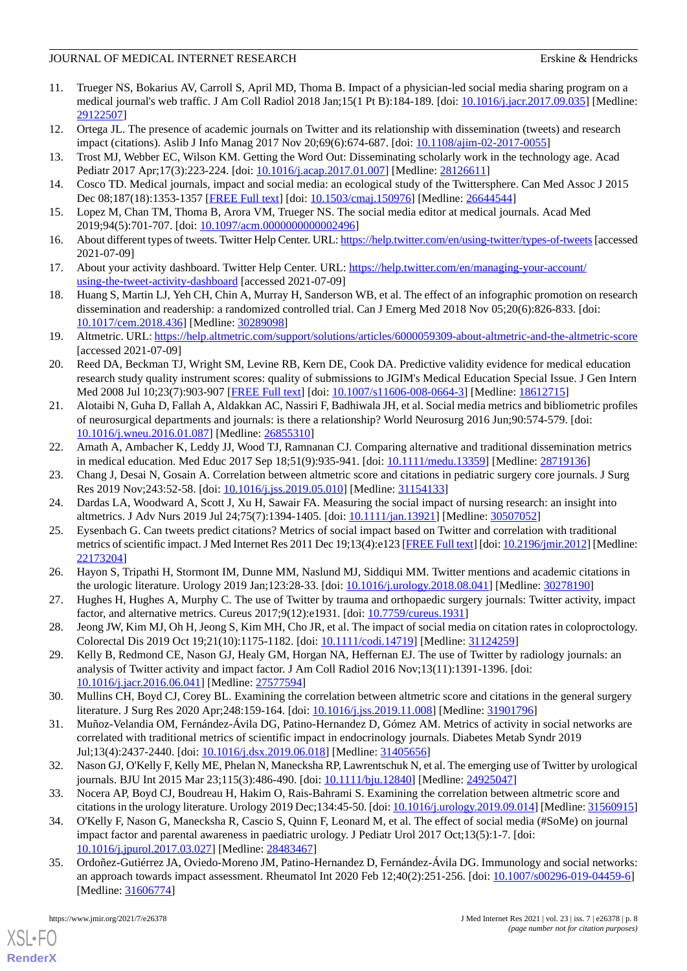- <span id="page-7-0"></span>11. Trueger NS, Bokarius AV, Carroll S, April MD, Thoma B. Impact of a physician-led social media sharing program on a medical journal's web traffic. J Am Coll Radiol 2018 Jan;15(1 Pt B):184-189. [doi: [10.1016/j.jacr.2017.09.035\]](http://dx.doi.org/10.1016/j.jacr.2017.09.035) [Medline: [29122507](http://www.ncbi.nlm.nih.gov/entrez/query.fcgi?cmd=Retrieve&db=PubMed&list_uids=29122507&dopt=Abstract)]
- <span id="page-7-2"></span><span id="page-7-1"></span>12. Ortega JL. The presence of academic journals on Twitter and its relationship with dissemination (tweets) and research impact (citations). Aslib J Info Manag 2017 Nov 20;69(6):674-687. [doi: [10.1108/ajim-02-2017-0055\]](http://dx.doi.org/10.1108/ajim-02-2017-0055)
- <span id="page-7-3"></span>13. Trost MJ, Webber EC, Wilson KM. Getting the Word Out: Disseminating scholarly work in the technology age. Acad Pediatr 2017 Apr;17(3):223-224. [doi: [10.1016/j.acap.2017.01.007\]](http://dx.doi.org/10.1016/j.acap.2017.01.007) [Medline: [28126611\]](http://www.ncbi.nlm.nih.gov/entrez/query.fcgi?cmd=Retrieve&db=PubMed&list_uids=28126611&dopt=Abstract)
- <span id="page-7-4"></span>14. Cosco TD. Medical journals, impact and social media: an ecological study of the Twittersphere. Can Med Assoc J 2015 Dec 08;187(18):1353-1357 [[FREE Full text\]](http://www.cmaj.ca/cgi/pmidlookup?view=long&pmid=26644544) [doi: [10.1503/cmaj.150976](http://dx.doi.org/10.1503/cmaj.150976)] [Medline: [26644544](http://www.ncbi.nlm.nih.gov/entrez/query.fcgi?cmd=Retrieve&db=PubMed&list_uids=26644544&dopt=Abstract)]
- <span id="page-7-5"></span>15. Lopez M, Chan TM, Thoma B, Arora VM, Trueger NS. The social media editor at medical journals. Acad Med 2019;94(5):701-707. [doi: [10.1097/acm.0000000000002496\]](http://dx.doi.org/10.1097/acm.0000000000002496)
- <span id="page-7-6"></span>16. About different types of tweets. Twitter Help Center. URL:<https://help.twitter.com/en/using-twitter/types-of-tweets> [accessed] 2021-07-09]
- <span id="page-7-7"></span>17. About your activity dashboard. Twitter Help Center. URL: [https://help.twitter.com/en/managing-your-account/](https://help.twitter.com/en/managing-your-account/using-the-tweet-activity-dashboard) [using-the-tweet-activity-dashboard](https://help.twitter.com/en/managing-your-account/using-the-tweet-activity-dashboard) [accessed 2021-07-09]
- <span id="page-7-8"></span>18. Huang S, Martin LJ, Yeh CH, Chin A, Murray H, Sanderson WB, et al. The effect of an infographic promotion on research dissemination and readership: a randomized controlled trial. Can J Emerg Med 2018 Nov 05;20(6):826-833. [doi: [10.1017/cem.2018.436](http://dx.doi.org/10.1017/cem.2018.436)] [Medline: [30289098](http://www.ncbi.nlm.nih.gov/entrez/query.fcgi?cmd=Retrieve&db=PubMed&list_uids=30289098&dopt=Abstract)]
- <span id="page-7-9"></span>19. Altmetric. URL:<https://help.altmetric.com/support/solutions/articles/6000059309-about-altmetric-and-the-altmetric-score> [accessed 2021-07-09]
- <span id="page-7-10"></span>20. Reed DA, Beckman TJ, Wright SM, Levine RB, Kern DE, Cook DA. Predictive validity evidence for medical education research study quality instrument scores: quality of submissions to JGIM's Medical Education Special Issue. J Gen Intern Med 2008 Jul 10;23(7):903-907 [\[FREE Full text\]](http://europepmc.org/abstract/MED/18612715) [doi: [10.1007/s11606-008-0664-3](http://dx.doi.org/10.1007/s11606-008-0664-3)] [Medline: [18612715\]](http://www.ncbi.nlm.nih.gov/entrez/query.fcgi?cmd=Retrieve&db=PubMed&list_uids=18612715&dopt=Abstract)
- <span id="page-7-17"></span>21. Alotaibi N, Guha D, Fallah A, Aldakkan AC, Nassiri F, Badhiwala JH, et al. Social media metrics and bibliometric profiles of neurosurgical departments and journals: is there a relationship? World Neurosurg 2016 Jun;90:574-579. [doi: [10.1016/j.wneu.2016.01.087](http://dx.doi.org/10.1016/j.wneu.2016.01.087)] [Medline: [26855310](http://www.ncbi.nlm.nih.gov/entrez/query.fcgi?cmd=Retrieve&db=PubMed&list_uids=26855310&dopt=Abstract)]
- 22. Amath A, Ambacher K, Leddy JJ, Wood TJ, Ramnanan CJ. Comparing alternative and traditional dissemination metrics in medical education. Med Educ 2017 Sep 18;51(9):935-941. [doi: [10.1111/medu.13359\]](http://dx.doi.org/10.1111/medu.13359) [Medline: [28719136](http://www.ncbi.nlm.nih.gov/entrez/query.fcgi?cmd=Retrieve&db=PubMed&list_uids=28719136&dopt=Abstract)]
- <span id="page-7-18"></span>23. Chang J, Desai N, Gosain A. Correlation between altmetric score and citations in pediatric surgery core journals. J Surg Res 2019 Nov;243:52-58. [doi: [10.1016/j.jss.2019.05.010\]](http://dx.doi.org/10.1016/j.jss.2019.05.010) [Medline: [31154133](http://www.ncbi.nlm.nih.gov/entrez/query.fcgi?cmd=Retrieve&db=PubMed&list_uids=31154133&dopt=Abstract)]
- <span id="page-7-19"></span>24. Dardas LA, Woodward A, Scott J, Xu H, Sawair FA. Measuring the social impact of nursing research: an insight into altmetrics. J Adv Nurs 2019 Jul 24;75(7):1394-1405. [doi: [10.1111/jan.13921\]](http://dx.doi.org/10.1111/jan.13921) [Medline: [30507052](http://www.ncbi.nlm.nih.gov/entrez/query.fcgi?cmd=Retrieve&db=PubMed&list_uids=30507052&dopt=Abstract)]
- <span id="page-7-11"></span>25. Eysenbach G. Can tweets predict citations? Metrics of social impact based on Twitter and correlation with traditional metrics of scientific impact. J Med Internet Res 2011 Dec 19;13(4):e123 [[FREE Full text](https://www.jmir.org/2011/4/e123/)] [doi: [10.2196/jmir.2012\]](http://dx.doi.org/10.2196/jmir.2012) [Medline: [22173204](http://www.ncbi.nlm.nih.gov/entrez/query.fcgi?cmd=Retrieve&db=PubMed&list_uids=22173204&dopt=Abstract)]
- <span id="page-7-20"></span>26. Hayon S, Tripathi H, Stormont IM, Dunne MM, Naslund MJ, Siddiqui MM. Twitter mentions and academic citations in the urologic literature. Urology 2019 Jan;123:28-33. [doi: [10.1016/j.urology.2018.08.041\]](http://dx.doi.org/10.1016/j.urology.2018.08.041) [Medline: [30278190](http://www.ncbi.nlm.nih.gov/entrez/query.fcgi?cmd=Retrieve&db=PubMed&list_uids=30278190&dopt=Abstract)]
- <span id="page-7-12"></span>27. Hughes H, Hughes A, Murphy C. The use of Twitter by trauma and orthopaedic surgery journals: Twitter activity, impact factor, and alternative metrics. Cureus 2017;9(12):e1931. [doi: [10.7759/cureus.1931\]](http://dx.doi.org/10.7759/cureus.1931)
- 28. Jeong JW, Kim MJ, Oh H, Jeong S, Kim MH, Cho JR, et al. The impact of social media on citation rates in coloproctology. Colorectal Dis 2019 Oct 19;21(10):1175-1182. [doi: [10.1111/codi.14719](http://dx.doi.org/10.1111/codi.14719)] [Medline: [31124259](http://www.ncbi.nlm.nih.gov/entrez/query.fcgi?cmd=Retrieve&db=PubMed&list_uids=31124259&dopt=Abstract)]
- <span id="page-7-15"></span>29. Kelly B, Redmond CE, Nason GJ, Healy GM, Horgan NA, Heffernan EJ. The use of Twitter by radiology journals: an analysis of Twitter activity and impact factor. J Am Coll Radiol 2016 Nov;13(11):1391-1396. [doi: [10.1016/j.jacr.2016.06.041](http://dx.doi.org/10.1016/j.jacr.2016.06.041)] [Medline: [27577594\]](http://www.ncbi.nlm.nih.gov/entrez/query.fcgi?cmd=Retrieve&db=PubMed&list_uids=27577594&dopt=Abstract)
- <span id="page-7-13"></span>30. Mullins CH, Boyd CJ, Corey BL. Examining the correlation between altmetric score and citations in the general surgery literature. J Surg Res 2020 Apr;248:159-164. [doi: [10.1016/j.jss.2019.11.008\]](http://dx.doi.org/10.1016/j.jss.2019.11.008) [Medline: [31901796](http://www.ncbi.nlm.nih.gov/entrez/query.fcgi?cmd=Retrieve&db=PubMed&list_uids=31901796&dopt=Abstract)]
- <span id="page-7-14"></span>31. Muñoz-Velandia OM, Fernández-Ávila DG, Patino-Hernandez D, Gómez AM. Metrics of activity in social networks are correlated with traditional metrics of scientific impact in endocrinology journals. Diabetes Metab Syndr 2019 Jul;13(4):2437-2440. [doi: [10.1016/j.dsx.2019.06.018](http://dx.doi.org/10.1016/j.dsx.2019.06.018)] [Medline: [31405656\]](http://www.ncbi.nlm.nih.gov/entrez/query.fcgi?cmd=Retrieve&db=PubMed&list_uids=31405656&dopt=Abstract)
- <span id="page-7-16"></span>32. Nason GJ, O'Kelly F, Kelly ME, Phelan N, Manecksha RP, Lawrentschuk N, et al. The emerging use of Twitter by urological journals. BJU Int 2015 Mar 23;115(3):486-490. [doi: [10.1111/bju.12840\]](http://dx.doi.org/10.1111/bju.12840) [Medline: [24925047\]](http://www.ncbi.nlm.nih.gov/entrez/query.fcgi?cmd=Retrieve&db=PubMed&list_uids=24925047&dopt=Abstract)
- 33. Nocera AP, Boyd CJ, Boudreau H, Hakim O, Rais-Bahrami S. Examining the correlation between altmetric score and citations in the urology literature. Urology 2019 Dec;134:45-50. [doi: [10.1016/j.urology.2019.09.014](http://dx.doi.org/10.1016/j.urology.2019.09.014)] [Medline: [31560915\]](http://www.ncbi.nlm.nih.gov/entrez/query.fcgi?cmd=Retrieve&db=PubMed&list_uids=31560915&dopt=Abstract)
- 34. O'Kelly F, Nason G, Manecksha R, Cascio S, Quinn F, Leonard M, et al. The effect of social media (#SoMe) on journal impact factor and parental awareness in paediatric urology. J Pediatr Urol 2017 Oct;13(5):1-7. [doi: [10.1016/j.jpurol.2017.03.027\]](http://dx.doi.org/10.1016/j.jpurol.2017.03.027) [Medline: [28483467](http://www.ncbi.nlm.nih.gov/entrez/query.fcgi?cmd=Retrieve&db=PubMed&list_uids=28483467&dopt=Abstract)]
- 35. Ordoñez-Gutiérrez JA, Oviedo-Moreno JM, Patino-Hernandez D, Fernández-Ávila DG. Immunology and social networks: an approach towards impact assessment. Rheumatol Int 2020 Feb 12;40(2):251-256. [doi: [10.1007/s00296-019-04459-6\]](http://dx.doi.org/10.1007/s00296-019-04459-6) [Medline: [31606774](http://www.ncbi.nlm.nih.gov/entrez/query.fcgi?cmd=Retrieve&db=PubMed&list_uids=31606774&dopt=Abstract)]

[XSL](http://www.w3.org/Style/XSL)•FO **[RenderX](http://www.renderx.com/)**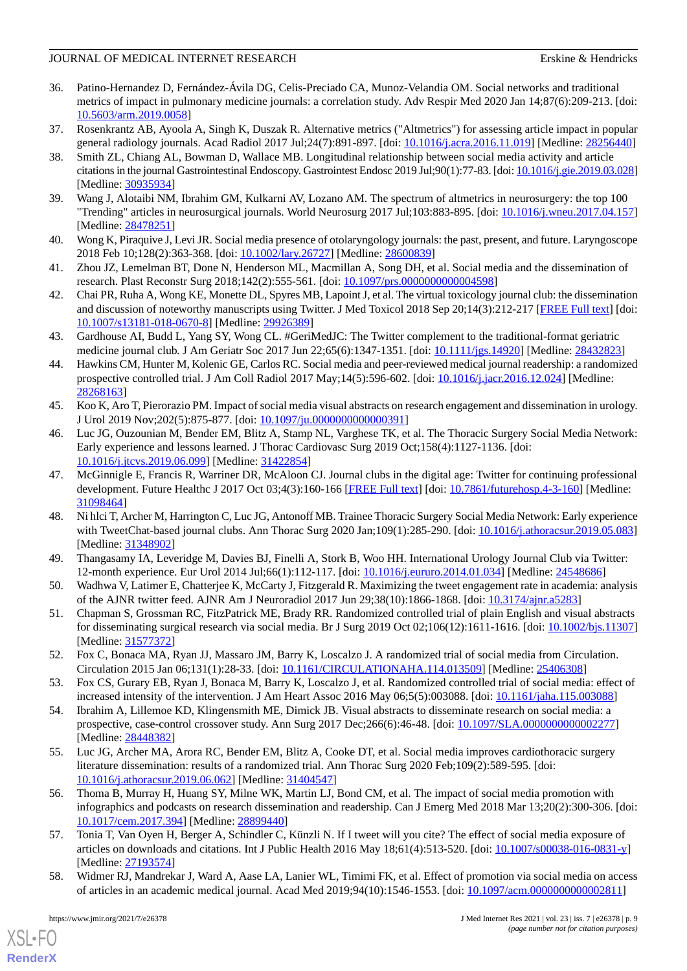- 36. Patino-Hernandez D, Fernández-Ávila DG, Celis-Preciado CA, Munoz-Velandia OM. Social networks and traditional metrics of impact in pulmonary medicine journals: a correlation study. Adv Respir Med 2020 Jan 14;87(6):209-213. [doi: [10.5603/arm.2019.0058](http://dx.doi.org/10.5603/arm.2019.0058)]
- <span id="page-8-11"></span><span id="page-8-10"></span>37. Rosenkrantz AB, Ayoola A, Singh K, Duszak R. Alternative metrics ("Altmetrics") for assessing article impact in popular general radiology journals. Acad Radiol 2017 Jul;24(7):891-897. [doi: [10.1016/j.acra.2016.11.019](http://dx.doi.org/10.1016/j.acra.2016.11.019)] [Medline: [28256440\]](http://www.ncbi.nlm.nih.gov/entrez/query.fcgi?cmd=Retrieve&db=PubMed&list_uids=28256440&dopt=Abstract)
- 38. Smith ZL, Chiang AL, Bowman D, Wallace MB. Longitudinal relationship between social media activity and article citations in the journal Gastrointestinal Endoscopy. Gastrointest Endosc 2019 Jul;90(1):77-83. [doi: [10.1016/j.gie.2019.03.028\]](http://dx.doi.org/10.1016/j.gie.2019.03.028) [Medline: [30935934](http://www.ncbi.nlm.nih.gov/entrez/query.fcgi?cmd=Retrieve&db=PubMed&list_uids=30935934&dopt=Abstract)]
- <span id="page-8-9"></span><span id="page-8-8"></span>39. Wang J, Alotaibi NM, Ibrahim GM, Kulkarni AV, Lozano AM. The spectrum of altmetrics in neurosurgery: the top 100 "Trending" articles in neurosurgical journals. World Neurosurg 2017 Jul;103:883-895. [doi: [10.1016/j.wneu.2017.04.157](http://dx.doi.org/10.1016/j.wneu.2017.04.157)] [Medline: [28478251](http://www.ncbi.nlm.nih.gov/entrez/query.fcgi?cmd=Retrieve&db=PubMed&list_uids=28478251&dopt=Abstract)]
- <span id="page-8-20"></span>40. Wong K, Piraquive J, Levi JR. Social media presence of otolaryngology journals: the past, present, and future. Laryngoscope 2018 Feb 10;128(2):363-368. [doi: [10.1002/lary.26727](http://dx.doi.org/10.1002/lary.26727)] [Medline: [28600839\]](http://www.ncbi.nlm.nih.gov/entrez/query.fcgi?cmd=Retrieve&db=PubMed&list_uids=28600839&dopt=Abstract)
- <span id="page-8-13"></span>41. Zhou JZ, Lemelman BT, Done N, Henderson ML, Macmillan A, Song DH, et al. Social media and the dissemination of research. Plast Reconstr Surg 2018;142(2):555-561. [doi: [10.1097/prs.0000000000004598\]](http://dx.doi.org/10.1097/prs.0000000000004598)
- <span id="page-8-0"></span>42. Chai PR, Ruha A, Wong KE, Monette DL, Spyres MB, Lapoint J, et al. The virtual toxicology journal club: the dissemination and discussion of noteworthy manuscripts using Twitter. J Med Toxicol 2018 Sep 20;14(3):212-217 [\[FREE Full text](http://europepmc.org/abstract/MED/29926389)] [doi: [10.1007/s13181-018-0670-8\]](http://dx.doi.org/10.1007/s13181-018-0670-8) [Medline: [29926389](http://www.ncbi.nlm.nih.gov/entrez/query.fcgi?cmd=Retrieve&db=PubMed&list_uids=29926389&dopt=Abstract)]
- <span id="page-8-3"></span>43. Gardhouse AI, Budd L, Yang SY, Wong CL. #GeriMedJC: The Twitter complement to the traditional-format geriatric medicine journal club. J Am Geriatr Soc 2017 Jun 22;65(6):1347-1351. [doi: [10.1111/jgs.14920\]](http://dx.doi.org/10.1111/jgs.14920) [Medline: [28432823\]](http://www.ncbi.nlm.nih.gov/entrez/query.fcgi?cmd=Retrieve&db=PubMed&list_uids=28432823&dopt=Abstract)
- <span id="page-8-1"></span>44. Hawkins CM, Hunter M, Kolenic GE, Carlos RC. Social media and peer-reviewed medical journal readership: a randomized prospective controlled trial. J Am Coll Radiol 2017 May;14(5):596-602. [doi: [10.1016/j.jacr.2016.12.024\]](http://dx.doi.org/10.1016/j.jacr.2016.12.024) [Medline: [28268163](http://www.ncbi.nlm.nih.gov/entrez/query.fcgi?cmd=Retrieve&db=PubMed&list_uids=28268163&dopt=Abstract)]
- <span id="page-8-14"></span>45. Koo K, Aro T, Pierorazio PM. Impact of social media visual abstracts on research engagement and dissemination in urology. J Urol 2019 Nov;202(5):875-877. [doi: [10.1097/ju.0000000000000391\]](http://dx.doi.org/10.1097/ju.0000000000000391)
- 46. Luc JG, Ouzounian M, Bender EM, Blitz A, Stamp NL, Varghese TK, et al. The Thoracic Surgery Social Media Network: Early experience and lessons learned. J Thorac Cardiovasc Surg 2019 Oct;158(4):1127-1136. [doi: [10.1016/j.jtcvs.2019.06.099](http://dx.doi.org/10.1016/j.jtcvs.2019.06.099)] [Medline: [31422854](http://www.ncbi.nlm.nih.gov/entrez/query.fcgi?cmd=Retrieve&db=PubMed&list_uids=31422854&dopt=Abstract)]
- <span id="page-8-19"></span>47. McGinnigle E, Francis R, Warriner DR, McAloon CJ. Journal clubs in the digital age: Twitter for continuing professional development. Future Healthc J 2017 Oct 03;4(3):160-166 [\[FREE Full text\]](http://europepmc.org/abstract/MED/31098464) [doi: [10.7861/futurehosp.4-3-160](http://dx.doi.org/10.7861/futurehosp.4-3-160)] [Medline: [31098464](http://www.ncbi.nlm.nih.gov/entrez/query.fcgi?cmd=Retrieve&db=PubMed&list_uids=31098464&dopt=Abstract)]
- <span id="page-8-18"></span><span id="page-8-2"></span>48. Ni hlci T, Archer M, Harrington C, Luc JG, Antonoff MB. Trainee Thoracic Surgery Social Media Network: Early experience with TweetChat-based journal clubs. Ann Thorac Surg 2020 Jan;109(1):285-290. [doi: [10.1016/j.athoracsur.2019.05.083](http://dx.doi.org/10.1016/j.athoracsur.2019.05.083)] [Medline: [31348902](http://www.ncbi.nlm.nih.gov/entrez/query.fcgi?cmd=Retrieve&db=PubMed&list_uids=31348902&dopt=Abstract)]
- <span id="page-8-4"></span>49. Thangasamy IA, Leveridge M, Davies BJ, Finelli A, Stork B, Woo HH. International Urology Journal Club via Twitter: 12-month experience. Eur Urol 2014 Jul;66(1):112-117. [doi: [10.1016/j.eururo.2014.01.034](http://dx.doi.org/10.1016/j.eururo.2014.01.034)] [Medline: [24548686\]](http://www.ncbi.nlm.nih.gov/entrez/query.fcgi?cmd=Retrieve&db=PubMed&list_uids=24548686&dopt=Abstract)
- <span id="page-8-15"></span>50. Wadhwa V, Latimer E, Chatterjee K, McCarty J, Fitzgerald R. Maximizing the tweet engagement rate in academia: analysis of the AJNR twitter feed. AJNR Am J Neuroradiol 2017 Jun 29;38(10):1866-1868. [doi: [10.3174/ajnr.a5283\]](http://dx.doi.org/10.3174/ajnr.a5283)
- <span id="page-8-16"></span>51. Chapman S, Grossman RC, FitzPatrick ME, Brady RR. Randomized controlled trial of plain English and visual abstracts for disseminating surgical research via social media. Br J Surg 2019 Oct 02;106(12):1611-1616. [doi: [10.1002/bjs.11307\]](http://dx.doi.org/10.1002/bjs.11307) [Medline: [31577372](http://www.ncbi.nlm.nih.gov/entrez/query.fcgi?cmd=Retrieve&db=PubMed&list_uids=31577372&dopt=Abstract)]
- <span id="page-8-6"></span>52. Fox C, Bonaca MA, Ryan JJ, Massaro JM, Barry K, Loscalzo J. A randomized trial of social media from Circulation. Circulation 2015 Jan 06;131(1):28-33. [doi: [10.1161/CIRCULATIONAHA.114.013509\]](http://dx.doi.org/10.1161/CIRCULATIONAHA.114.013509) [Medline: [25406308](http://www.ncbi.nlm.nih.gov/entrez/query.fcgi?cmd=Retrieve&db=PubMed&list_uids=25406308&dopt=Abstract)]
- <span id="page-8-17"></span>53. Fox CS, Gurary EB, Ryan J, Bonaca M, Barry K, Loscalzo J, et al. Randomized controlled trial of social media: effect of increased intensity of the intervention. J Am Heart Assoc 2016 May 06;5(5):003088. [doi: [10.1161/jaha.115.003088\]](http://dx.doi.org/10.1161/jaha.115.003088)
- <span id="page-8-7"></span>54. Ibrahim A, Lillemoe KD, Klingensmith ME, Dimick JB. Visual abstracts to disseminate research on social media: a prospective, case-control crossover study. Ann Surg 2017 Dec;266(6):46-48. [doi: [10.1097/SLA.0000000000002277](http://dx.doi.org/10.1097/SLA.0000000000002277)] [Medline: [28448382](http://www.ncbi.nlm.nih.gov/entrez/query.fcgi?cmd=Retrieve&db=PubMed&list_uids=28448382&dopt=Abstract)]
- <span id="page-8-12"></span>55. Luc JG, Archer MA, Arora RC, Bender EM, Blitz A, Cooke DT, et al. Social media improves cardiothoracic surgery literature dissemination: results of a randomized trial. Ann Thorac Surg 2020 Feb;109(2):589-595. [doi: [10.1016/j.athoracsur.2019.06.062\]](http://dx.doi.org/10.1016/j.athoracsur.2019.06.062) [Medline: [31404547](http://www.ncbi.nlm.nih.gov/entrez/query.fcgi?cmd=Retrieve&db=PubMed&list_uids=31404547&dopt=Abstract)]
- <span id="page-8-5"></span>56. Thoma B, Murray H, Huang SY, Milne WK, Martin LJ, Bond CM, et al. The impact of social media promotion with infographics and podcasts on research dissemination and readership. Can J Emerg Med 2018 Mar 13;20(2):300-306. [doi: [10.1017/cem.2017.394](http://dx.doi.org/10.1017/cem.2017.394)] [Medline: [28899440](http://www.ncbi.nlm.nih.gov/entrez/query.fcgi?cmd=Retrieve&db=PubMed&list_uids=28899440&dopt=Abstract)]
- 57. Tonia T, Van Oyen H, Berger A, Schindler C, Künzli N. If I tweet will you cite? The effect of social media exposure of articles on downloads and citations. Int J Public Health 2016 May 18;61(4):513-520. [doi: [10.1007/s00038-016-0831-y\]](http://dx.doi.org/10.1007/s00038-016-0831-y) [Medline: [27193574](http://www.ncbi.nlm.nih.gov/entrez/query.fcgi?cmd=Retrieve&db=PubMed&list_uids=27193574&dopt=Abstract)]
- 58. Widmer RJ, Mandrekar J, Ward A, Aase LA, Lanier WL, Timimi FK, et al. Effect of promotion via social media on access of articles in an academic medical journal. Acad Med 2019;94(10):1546-1553. [doi: [10.1097/acm.0000000000002811\]](http://dx.doi.org/10.1097/acm.0000000000002811)

[XSL](http://www.w3.org/Style/XSL)•FO **[RenderX](http://www.renderx.com/)**